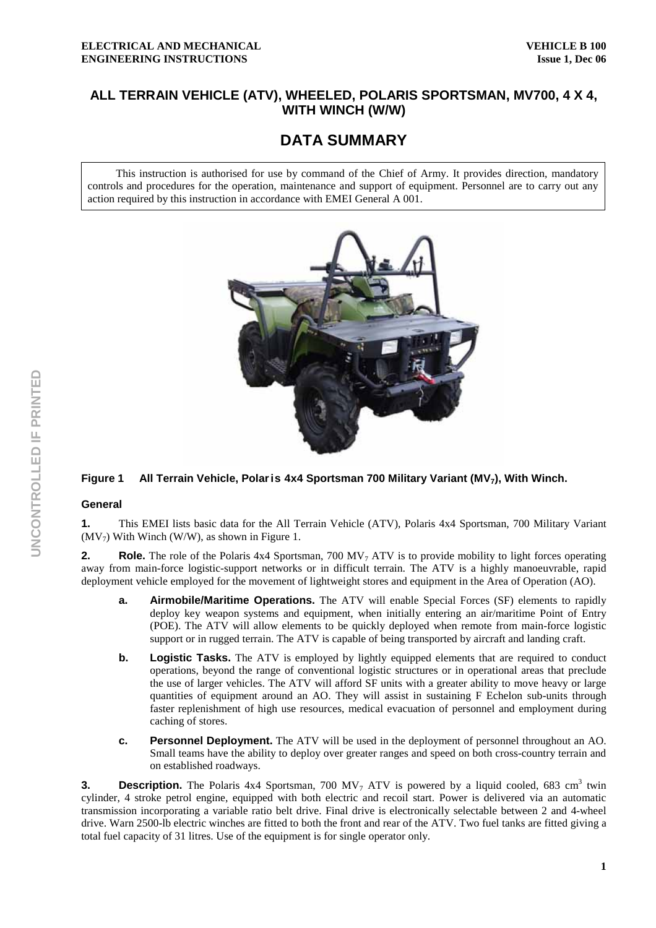# **ALL TERRAIN VEHICLE (ATV), WHEELED, POLARIS SPORTSMAN, MV700, 4 X 4, WITH WINCH (W/W)**

# **DATA SUMMARY**

This instruction is authorised for use by command of the Chief of Army. It provides direction, mandatory controls and procedures for the operation, maintenance and support of equipment. Personnel are to carry out any action required by this instruction in accordance with EMEI General A 001.



# Figure 1 All Terrain Vehicle, Polar is 4x4 Sportsman 700 Military Variant (MV<sub>7</sub>), With Winch.

#### **General**

**1.** This EMEI lists basic data for the All Terrain Vehicle (ATV), Polaris 4x4 Sportsman, 700 Military Variant  $(MV_7)$  With Winch (W/W), as shown in Figure 1.

**2.** Role. The role of the Polaris 4x4 Sportsman, 700 MV<sub>7</sub> ATV is to provide mobility to light forces operating away from main-force logistic-support networks or in difficult terrain. The ATV is a highly manoeuvrable, rapid deployment vehicle employed for the movement of lightweight stores and equipment in the Area of Operation (AO).

- **a. Airmobile/Maritime Operations.** The ATV will enable Special Forces (SF) elements to rapidly deploy key weapon systems and equipment, when initially entering an air/maritime Point of Entry (POE). The ATV will allow elements to be quickly deployed when remote from main-force logistic support or in rugged terrain. The ATV is capable of being transported by aircraft and landing craft.
- **b.** Logistic Tasks. The ATV is employed by lightly equipped elements that are required to conduct operations, beyond the range of conventional logistic structures or in operational areas that preclude the use of larger vehicles. The ATV will afford SF units with a greater ability to move heavy or large quantities of equipment around an AO. They will assist in sustaining F Echelon sub-units through faster replenishment of high use resources, medical evacuation of personnel and employment during caching of stores.
- **c. Personnel Deployment.** The ATV will be used in the deployment of personnel throughout an AO. Small teams have the ability to deploy over greater ranges and speed on both cross-country terrain and on established roadways.

**3. Description.** The Polaris  $4x4$  Sportsman, 700 MV<sub>7</sub> ATV is powered by a liquid cooled, 683 cm<sup>3</sup> twin cylinder, 4 stroke petrol engine, equipped with both electric and recoil start. Power is delivered via an automatic transmission incorporating a variable ratio belt drive. Final drive is electronically selectable between 2 and 4-wheel drive. Warn 2500-lb electric winches are fitted to both the front and rear of the ATV. Two fuel tanks are fitted giving a total fuel capacity of 31 litres. Use of the equipment is for single operator only.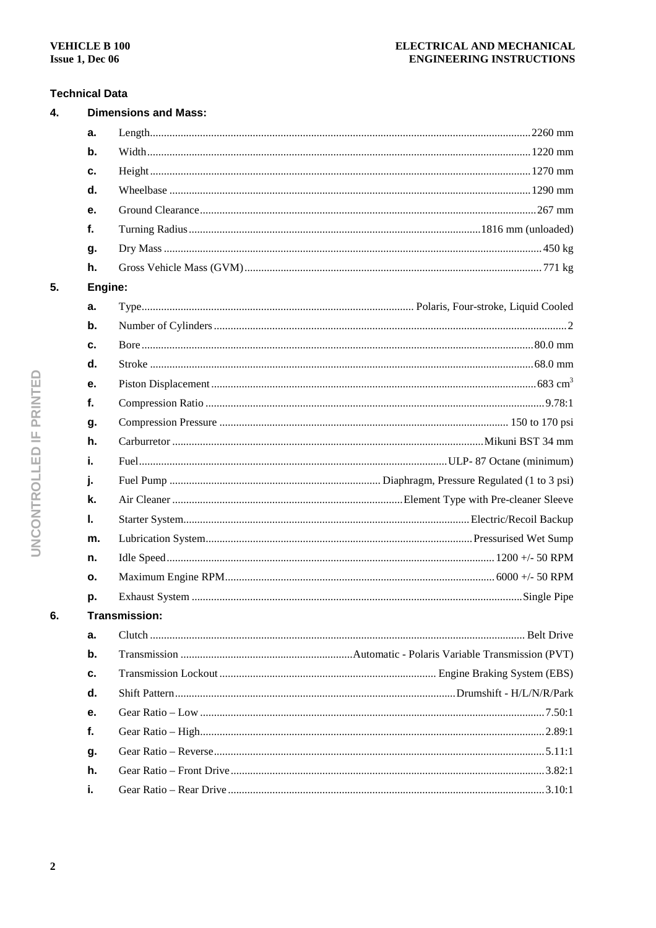# **Technical Data**

| 4. |               | <b>Dimensions and Mass:</b> |  |  |  |  |
|----|---------------|-----------------------------|--|--|--|--|
|    | a.            |                             |  |  |  |  |
|    | b.            |                             |  |  |  |  |
|    | c.            |                             |  |  |  |  |
|    | d.            |                             |  |  |  |  |
|    | е.            |                             |  |  |  |  |
|    | f.            |                             |  |  |  |  |
|    | g.            |                             |  |  |  |  |
|    | h.            |                             |  |  |  |  |
| 5. |               | Engine:                     |  |  |  |  |
|    | a.            |                             |  |  |  |  |
|    | $\mathbf b$ . |                             |  |  |  |  |
|    | c.            |                             |  |  |  |  |
|    | d.            |                             |  |  |  |  |
|    | е.            |                             |  |  |  |  |
|    | f.            |                             |  |  |  |  |
|    | g.            |                             |  |  |  |  |
|    | h.            |                             |  |  |  |  |
|    | i.            |                             |  |  |  |  |
|    | j.            |                             |  |  |  |  |
|    | k.            |                             |  |  |  |  |
|    | L.            |                             |  |  |  |  |
|    | m.            |                             |  |  |  |  |
|    | n.            |                             |  |  |  |  |
|    | о.            |                             |  |  |  |  |
|    | p.            |                             |  |  |  |  |
| 6. |               | Transmission:               |  |  |  |  |
|    | a.            |                             |  |  |  |  |
|    | b.            |                             |  |  |  |  |
|    | c.            |                             |  |  |  |  |
|    | d.            |                             |  |  |  |  |
|    | е.            |                             |  |  |  |  |
|    | f.            |                             |  |  |  |  |
|    | g.            |                             |  |  |  |  |
|    | h.            |                             |  |  |  |  |
|    | i.            |                             |  |  |  |  |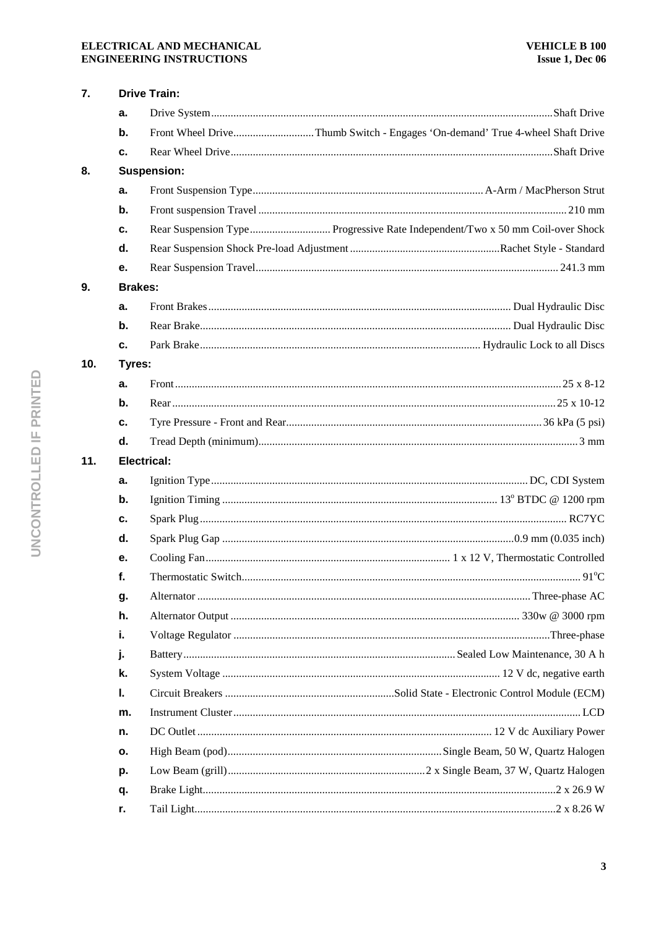# ELECTRICAL AND MECHANICAL **ENGINEERING INSTRUCTIONS**

| 7.  |                    | <b>Drive Train:</b>                   |  |  |  |  |
|-----|--------------------|---------------------------------------|--|--|--|--|
|     | a.                 |                                       |  |  |  |  |
|     |                    |                                       |  |  |  |  |
|     | c.                 |                                       |  |  |  |  |
| 8.  |                    | <b>Suspension:</b>                    |  |  |  |  |
|     | a.                 |                                       |  |  |  |  |
|     | b.                 |                                       |  |  |  |  |
|     | c.                 |                                       |  |  |  |  |
|     | d.                 |                                       |  |  |  |  |
|     | е.                 |                                       |  |  |  |  |
| 9.  |                    | <b>Brakes:</b>                        |  |  |  |  |
|     | a.                 |                                       |  |  |  |  |
|     | $\mathbf b$ .      |                                       |  |  |  |  |
|     | c.                 |                                       |  |  |  |  |
| 10. | Tyres:             |                                       |  |  |  |  |
|     | a.                 |                                       |  |  |  |  |
|     | b.                 |                                       |  |  |  |  |
|     | c.                 |                                       |  |  |  |  |
|     | d.                 |                                       |  |  |  |  |
| 11. | <b>Electrical:</b> |                                       |  |  |  |  |
|     | a.                 |                                       |  |  |  |  |
|     | b.                 |                                       |  |  |  |  |
|     | c.                 |                                       |  |  |  |  |
|     | d.                 |                                       |  |  |  |  |
|     | е.                 |                                       |  |  |  |  |
|     | f.                 | $91^{\circ}$ C<br>Thermostatic Switch |  |  |  |  |
|     | g.                 |                                       |  |  |  |  |
|     | h.                 |                                       |  |  |  |  |
|     | j.                 |                                       |  |  |  |  |
|     | j.                 |                                       |  |  |  |  |
|     | k.                 |                                       |  |  |  |  |
|     | L.                 |                                       |  |  |  |  |
|     | m.                 |                                       |  |  |  |  |
|     | n.                 |                                       |  |  |  |  |
|     | о.                 |                                       |  |  |  |  |
|     | p.                 |                                       |  |  |  |  |
|     | q.                 |                                       |  |  |  |  |
|     | r.                 |                                       |  |  |  |  |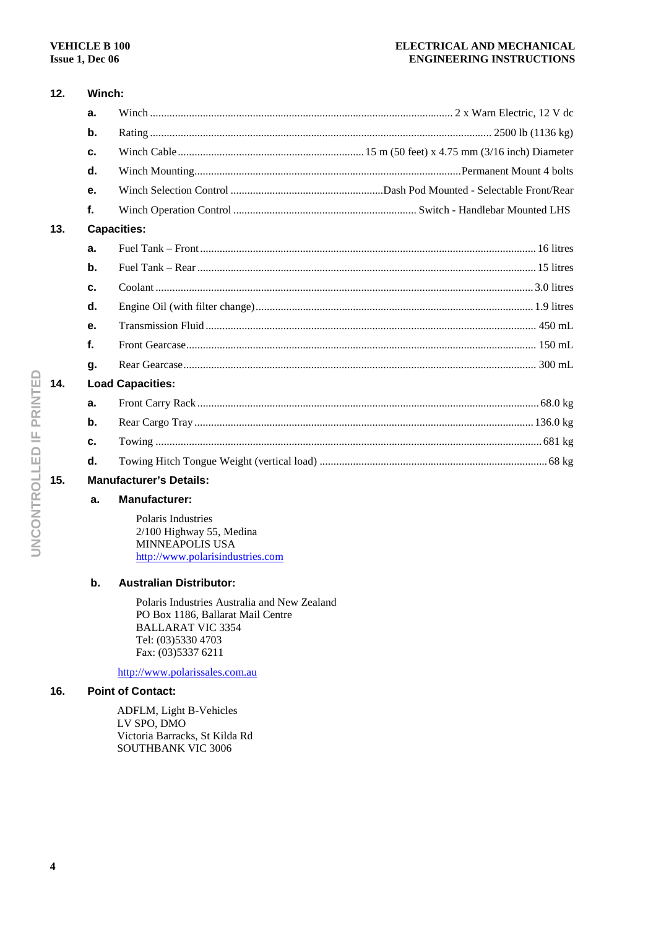#### **ELECTRICAL AND MECHANICAL ENGINEERING INSTRUCTIONS**

| 12.                                   | Winch:                  |  |  |  |
|---------------------------------------|-------------------------|--|--|--|
|                                       | a.                      |  |  |  |
|                                       | $\mathbf b$ .           |  |  |  |
|                                       | C.                      |  |  |  |
|                                       | d.                      |  |  |  |
|                                       | е.                      |  |  |  |
|                                       | f.                      |  |  |  |
| 13.<br><b>Capacities:</b>             |                         |  |  |  |
|                                       | a.                      |  |  |  |
|                                       | b.                      |  |  |  |
|                                       | c.                      |  |  |  |
|                                       | d.                      |  |  |  |
|                                       | е.                      |  |  |  |
|                                       | f.                      |  |  |  |
|                                       | q.                      |  |  |  |
| 14.                                   | <b>Load Capacities:</b> |  |  |  |
|                                       | a.                      |  |  |  |
|                                       | b.                      |  |  |  |
|                                       | c.                      |  |  |  |
|                                       | d.                      |  |  |  |
| <b>Manufacturer's Details:</b><br>15. |                         |  |  |  |
|                                       |                         |  |  |  |

# **a. Manufacturer:**

Polaris Industries 2/100 Highway 55, Medina MINNEAPOLIS USA http://www.polarisindustries.com

# **b. Australian Distributor:**

Polaris Industries Australia and New Zealand PO Box 1186, Ballarat Mail Centre BALLARAT VIC 3354 Tel: (03)5330 4703 Fax: (03)5337 6211

http://www.polarissales.com.au

# **16. Point of Contact:**

ADFLM, Light B-Vehicles LV SPO, DMO Victoria Barracks, St Kilda Rd SOUTHBANK VIC 3006